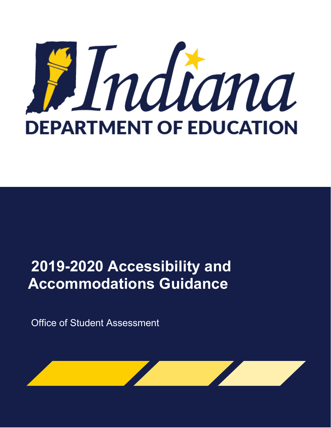

# **2019-2020 Accessibility and Accommodations Guidance**

Office of Student Assessment

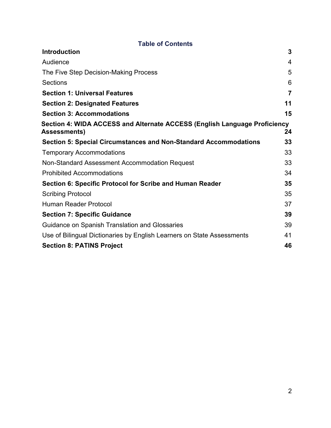<span id="page-1-0"></span>

| <b>Introduction</b>                                                                              | 3              |
|--------------------------------------------------------------------------------------------------|----------------|
| Audience                                                                                         | $\overline{4}$ |
| The Five Step Decision-Making Process                                                            | 5              |
| Sections                                                                                         | 6              |
| <b>Section 1: Universal Features</b>                                                             | $\overline{7}$ |
| <b>Section 2: Designated Features</b>                                                            | 11             |
| <b>Section 3: Accommodations</b>                                                                 | 15             |
| Section 4: WIDA ACCESS and Alternate ACCESS (English Language Proficiency<br><b>Assessments)</b> | 24             |
| <b>Section 5: Special Circumstances and Non-Standard Accommodations</b>                          | 33             |
| <b>Temporary Accommodations</b>                                                                  | 33             |
| Non-Standard Assessment Accommodation Request                                                    | 33             |
| <b>Prohibited Accommodations</b>                                                                 | 34             |
| Section 6: Specific Protocol for Scribe and Human Reader                                         | 35             |
| <b>Scribing Protocol</b>                                                                         | 35             |
| Human Reader Protocol                                                                            | 37             |
| <b>Section 7: Specific Guidance</b>                                                              | 39             |
| Guidance on Spanish Translation and Glossaries                                                   | 39             |
| Use of Bilingual Dictionaries by English Learners on State Assessments                           | 41             |
| <b>Section 8: PATINS Project</b>                                                                 | 46             |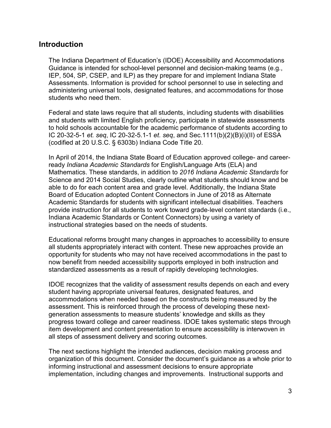### **Introduction**

The Indiana Department of Education's (IDOE) Accessibility and Accommodations Guidance is intended for school-level personnel and decision-making teams (e.g., IEP, 504, SP, CSEP, and ILP) as they prepare for and implement Indiana State Assessments. Information is provided for school personnel to use in selecting and administering universal tools, designated features, and accommodations for those students who need them.

Federal and state laws require that all students, including students with disabilities and students with limited English proficiency, participate in statewide assessments to hold schools accountable for the academic performance of students according to IC 20-32-5-1 *et. seq*, IC 20-32-5.1-1 *et. seq*, and Sec.1111(b)(2)(B)(i)(II) of ESSA (codified at 20 U.S.C. § 6303b) Indiana Code Title 20.

In April of 2014, the Indiana State Board of Education approved college- and careerready *Indiana Academic Standards* for English/Language Arts (ELA) and Mathematics. These standards, in addition to *2016 Indiana Academic Standards* for Science and 2014 Social Studies, clearly outline what students should know and be able to do for each content area and grade level. Additionally, the Indiana State Board of Education adopted Content Connectors in June of 2018 as Alternate Academic Standards for students with significant intellectual disabilities. Teachers provide instruction for all students to work toward grade‐level content standards (i.e., Indiana Academic Standards or Content Connectors) by using a variety of instructional strategies based on the needs of students.

Educational reforms brought many changes in approaches to accessibility to ensure all students appropriately interact with content. These new approaches provide an opportunity for students who may not have received accommodations in the past to now benefit from needed accessibility supports employed in both instruction and standardized assessments as a result of rapidly developing technologies.

IDOE recognizes that the validity of assessment results depends on each and every student having appropriate universal features, designated features, and accommodations when needed based on the constructs being measured by the assessment. This is reinforced through the process of developing these nextgeneration assessments to measure students' knowledge and skills as they progress toward college and career readiness. IDOE takes systematic steps through item development and content presentation to ensure accessibility is interwoven in all steps of assessment delivery and scoring outcomes.

The next sections highlight the intended audiences, decision making process and organization of this document. Consider the document's guidance as a whole prior to informing instructional and assessment decisions to ensure appropriate implementation, including changes and improvements. Instructional supports and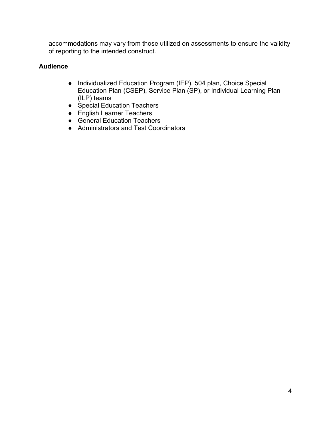accommodations may vary from those utilized on assessments to ensure the validity of reporting to the intended construct.

### <span id="page-3-0"></span>**Audience**

- Individualized Education Program (IEP), 504 plan, Choice Special Education Plan (CSEP), Service Plan (SP), or Individual Learning Plan (ILP) teams
- Special Education Teachers
- English Learner Teachers
- General Education Teachers
- Administrators and Test Coordinators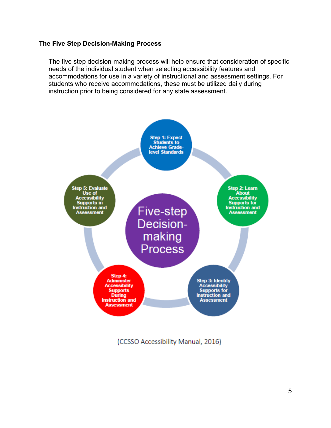### <span id="page-4-0"></span>**The Five Step Decision-Making Process**

The five step decision-making process will help ensure that consideration of specific needs of the individual student when selecting accessibility features and accommodations for use in a variety of instructional and assessment settings. For students who receive accommodations, these must be utilized daily during instruction prior to being considered for any state assessment.



(CCSSO Accessibility Manual, 2016)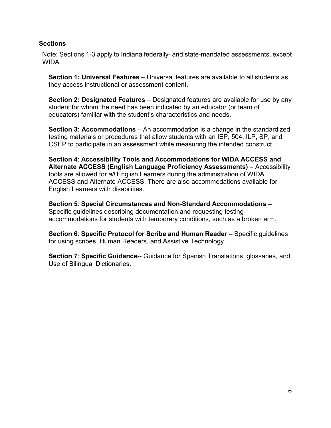### <span id="page-5-0"></span>**Sections**

Note: Sections 1-3 apply to Indiana federally- and state-mandated assessments, except WIDA.

**Section 1: Universal Features** – Universal features are available to all students as they access instructional or assessment content.

**Section 2: Designated Features** – Designated features are available for use by any student for whom the need has been indicated by an educator (or team of educators) familiar with the student's characteristics and needs.

**Section 3: Accommodations** – An accommodation is a change in the standardized testing materials or procedures that allow students with an IEP, 504, ILP, SP, and CSEP to participate in an assessment while measuring the intended construct.

**Section 4**: **Accessibility Tools and Accommodations for WIDA ACCESS and Alternate ACCESS (English Language Proficiency Assessments)** – Accessibility tools are allowed for *all* English Learners during the administration of WIDA ACCESS and Alternate ACCESS. There are also accommodations available for English Learners with disabilities.

**Section 5**: **Special Circumstances and Non-Standard Accommodations** – Specific guidelines describing documentation and requesting testing accommodations for students with temporary conditions, such as a broken arm.

**Section 6: Specific Protocol for Scribe and Human Reader** – Specific guidelines for using scribes, Human Readers, and Assistive Technology.

**Section 7**: **Specific Guidance**-- Guidance for Spanish Translations, glossaries, and Use of Bilingual Dictionaries.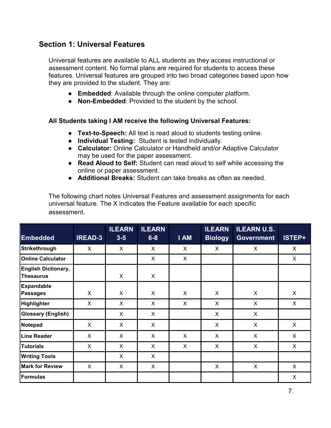### <span id="page-6-0"></span>**Section 1: Universal Features**

Universal features are available to ALL students as they access instructional or assessment content. No formal plans are required for students to access these features. Universal features are grouped into two broad categories based upon how they are provided to the student. They are:

- **Embedded**: Available through the online computer platform.
- **Non-Embedded**: Provided to the student by the school.

### **All Students taking I AM receive the following Universal Features:**

- **Text-to-Speech:** All text is read aloud to students testing online.
- **Individual Testing:** Student is tested individually.
- **Calculator:** Online Calculator or Handheld and/or Adaptive Calculator may be used for the paper assessment.
- **Read Aloud to Self:** Student can read aloud to self while accessing the online or paper assessment.
- **Additional Breaks:** Student can take breaks as often as needed.

The following chart notes Universal Features and assessment assignments for each universal feature. The X indicates the Feature available for each specific assessment.

| <b>Embedded</b>                                | <b>IREAD-3</b> | <b>ILEARN</b><br>$3 - 5$ | <b>ILEARN</b><br>$6 - 8$ | <b>I AM</b>  | <b>ILEARN</b><br><b>Biology</b> | <b>ILEARN U.S.</b><br><b>Government</b> | ISTEP+       |
|------------------------------------------------|----------------|--------------------------|--------------------------|--------------|---------------------------------|-----------------------------------------|--------------|
| Strikethrough                                  | $\mathsf{X}$   | X                        | $\mathsf{X}$             | $\mathsf{X}$ | $\mathsf{X}$                    | X                                       | $\mathsf{X}$ |
| <b>Online Calculator</b>                       |                |                          | X                        | X            |                                 |                                         | X            |
| <b>English Dictionary,</b><br><b>Thesaurus</b> |                | X                        | X                        |              |                                 |                                         |              |
| <b>Expandable</b><br><b>Passages</b>           | X              | X                        | $\mathsf{X}$             | $\sf X$      | $\mathsf{X}$                    | X                                       | $\sf X$      |
| <b>Highlighter</b>                             | X              | X                        | X                        | $\sf X$      | $\sf X$                         | X                                       | $\mathsf{X}$ |
| <b>Glossary (English)</b>                      |                | X                        | X                        |              | X                               | X                                       |              |
| Notepad                                        | X              | X                        | X                        |              | X                               | X                                       | $\mathsf{X}$ |
| <b>Line Reader</b>                             | X              | X                        | X                        | X            | $\sf X$                         | X                                       | X            |
| <b>Tutorials</b>                               | X              | X                        | X                        | X            | X                               | X                                       | $\mathsf{X}$ |
| <b>Writing Tools</b>                           |                | X                        | X                        |              |                                 |                                         |              |
| <b>Mark for Review</b>                         | $\mathsf{X}$   | X                        | X                        |              | $\sf X$                         | X                                       | $\sf X$      |
| <b>Formulas</b>                                |                |                          |                          |              |                                 |                                         | X            |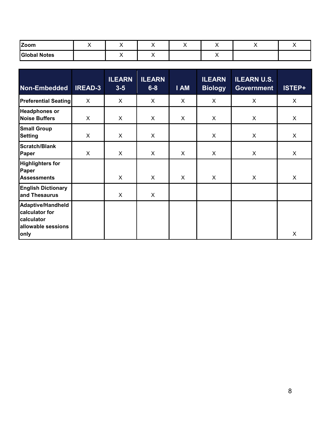| <b>Zoom</b>         |  | ,, | $\cdot$ |  |  |
|---------------------|--|----|---------|--|--|
| <b>Global Notes</b> |  |    |         |  |  |

| Non-Embedded                                                                           | <b>IREAD-3</b> | <b>ILEARN</b><br>$3 - 5$ | <b>ILEARN</b><br>$6 - 8$ | I AM | <b>ILEARN</b><br><b>Biology</b> | <b>ILEARN U.S.</b><br><b>Government</b> | ISTEP+ |
|----------------------------------------------------------------------------------------|----------------|--------------------------|--------------------------|------|---------------------------------|-----------------------------------------|--------|
| <b>Preferential Seating</b>                                                            | X              | X                        | X                        | X    | $\mathsf{X}$                    | X                                       | X      |
| <b>Headphones or</b><br><b>Noise Buffers</b>                                           | X              | X                        | X                        | X    | X                               | X                                       | X      |
| <b>Small Group</b><br><b>Setting</b>                                                   | X              | X                        | X                        |      | X                               | X                                       | X      |
| <b>Scratch/Blank</b><br>Paper                                                          | X              | X                        | X                        | X    | X                               | X                                       | X      |
| <b>Highlighters for</b><br>Paper<br><b>Assessments</b>                                 |                | X                        | X                        | X    | X                               | X                                       | X      |
| <b>English Dictionary</b><br>and Thesaurus                                             |                | X                        | X                        |      |                                 |                                         |        |
| <b>Adaptive/Handheld</b><br>calculator for<br>calculator<br>allowable sessions<br>only |                |                          |                          |      |                                 |                                         | X      |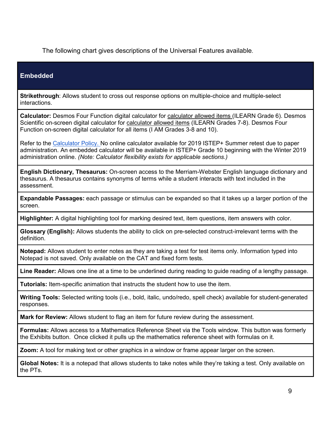The following chart gives descriptions of the Universal Features available.

### **Embedded**

**Strikethrough**: Allows student to cross out response options on multiple-choice and multiple-select interactions.

**Calculator:** Desmos Four Function digital calculator for calculator allowed items (ILEARN Grade 6). Desmos Scientific on-screen digital calculator for calculator allowed items (ILEARN Grades 7-8). Desmos Four Function on-screen digital calculator for all items (I AM Grades 3-8 and 10).

Refer to the [Calculator Policy.](https://www.doe.in.gov/sites/default/files/assessment/calculator-policy2019-2020-final.pdf) No online calculator available for 2019 ISTEP+ Summer retest due to paper administration. An embedded calculator will be available in ISTEP+ Grade 10 beginning with the Winter 2019 administration online. *(Note: Calculator flexibility exists for applicable sections.)*

**English Dictionary, Thesaurus:** On-screen access to the Merriam-Webster English language dictionary and thesaurus. A thesaurus contains synonyms of terms while a student interacts with text included in the assessment.

**Expandable Passages:** each passage or stimulus can be expanded so that it takes up a larger portion of the screen.

**Highlighter:** A digital highlighting tool for marking desired text, item questions, item answers with color.

**Glossary (English):** Allows students the ability to click on pre-selected construct-irrelevant terms with the definition.

**Notepad:** Allows student to enter notes as they are taking a test for test items only. Information typed into Notepad is not saved. Only available on the CAT and fixed form tests.

**Line Reader:** Allows one line at a time to be underlined during reading to guide reading of a lengthy passage.

**Tutorials:** Item-specific animation that instructs the student how to use the item.

**Writing Tools:** Selected writing tools (i.e., bold, italic, undo/redo, spell check) available for student-generated responses.

**Mark for Review:** Allows student to flag an item for future review during the assessment.

**Formulas:** Allows access to a Mathematics Reference Sheet via the Tools window. This button was formerly the Exhibits button. Once clicked it pulls up the mathematics reference sheet with formulas on it.

**Zoom:** A tool for making text or other graphics in a window or frame appear larger on the screen.

**Global Notes:** It is a notepad that allows students to take notes while they're taking a test. Only available on the PTs.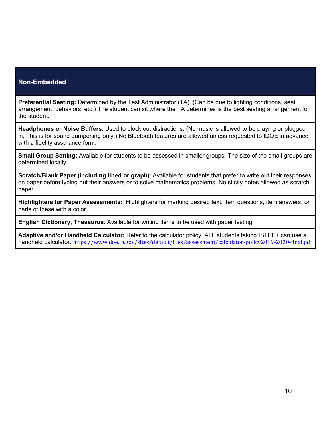#### **Non-Embedded**

**Preferential Seating:** Determined by the Test Administrator (TA). (Can be due to lighting conditions, seat arrangement, behaviors, etc.) The student can sit where the TA determines is the best seating arrangement for the student.

**Headphones or Noise Buffers**: Used to block out distractions. (No music is allowed to be playing or plugged in. This is for sound dampening only.) No Bluetooth features are allowed unless requested to IDOE in advance with a fidelity assurance form.

**Small Group Setting:** Available for students to be assessed in smaller groups. The size of the small groups are determined locally.

**Scratch/Blank Paper (including lined or graph)**: Available for students that prefer to write out their responses on paper before typing out their answers or to solve mathematics problems. No sticky notes allowed as scratch paper.

**Highlighters for Paper Assessments:** Highlighters for marking desired text, item questions, item answers, or parts of these with a color.

**English Dictionary, Thesaurus**: Available for writing items to be used with paper testing.

<span id="page-9-0"></span>**Adaptive and/or Handheld Calculator:** Refer to the calculator policy. ALL students taking ISTEP+ can use a handheld calculator. <https://www.doe.in.gov/sites/default/files/assessment/calculator-policy2019-2020-final.pdf>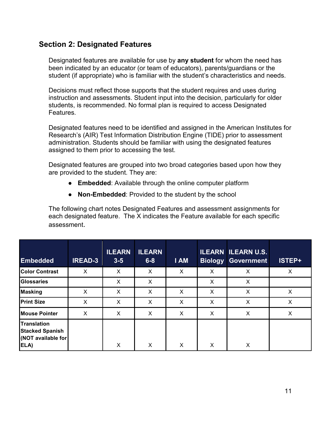### **Section 2: Designated Features**

Designated features are available for use by **any student** for whom the need has been indicated by an educator (or team of educators), parents/guardians or the student (if appropriate) who is familiar with the student's characteristics and needs.

Decisions must reflect those supports that the student requires and uses during instruction and assessments. Student input into the decision, particularly for older students, is recommended. No formal plan is required to access Designated Features.

Designated features need to be identified and assigned in the American Institutes for Research's (AIR) Test Information Distribution Engine (TIDE) prior to assessment administration. Students should be familiar with using the designated features assigned to them prior to accessing the test.

Designated features are grouped into two broad categories based upon how they are provided to the student. They are:

- **Embedded**: Available through the online computer platform
- **Non-Embedded**: Provided to the student by the school

The following chart notes Designated Features and assessment assignments for each designated feature. The X indicates the Feature available for each specific assessment.

| <b>Embedded</b>                                                            | <b>IREAD-3</b> | <b>ILEARN</b><br>$3-5$ | <b>ILEARN</b><br>$6 - 8$ | <b>I AM</b> | <b>Biology</b> | <b>ILEARN ILEARN U.S.</b><br><b>Government</b> | ISTEP+ |
|----------------------------------------------------------------------------|----------------|------------------------|--------------------------|-------------|----------------|------------------------------------------------|--------|
| <b>Color Contrast</b>                                                      | X              | X                      | X                        | X           | X              | X                                              | X      |
| <b>Glossaries</b>                                                          |                | X                      | X                        |             | X              | X                                              |        |
| <b>Masking</b>                                                             | X              | X                      | X                        | X           | X              | X                                              | x      |
| <b>Print Size</b>                                                          | X              | X                      | X                        | X           | X              | X                                              | X      |
| <b>Mouse Pointer</b>                                                       | X              | X                      | X                        | X           | X              | X                                              | X      |
| <b>Translation</b><br><b>Stacked Spanish</b><br>(NOT available for<br>ELA) |                | X                      | X                        | X           | X              | X                                              |        |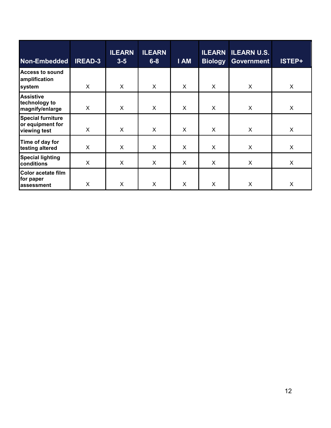| Non-Embedded                                                 | <b>IREAD-3</b> | <b>ILEARN</b><br>$3 - 5$ | <b>ILEARN</b><br>$6 - 8$ | <b>I AM</b> | <b>Biology</b> | <b>ILEARN ILEARN U.S.</b><br><b>Government</b> | ISTEP+  |
|--------------------------------------------------------------|----------------|--------------------------|--------------------------|-------------|----------------|------------------------------------------------|---------|
| <b>Access to sound</b><br>amplification<br>system            | $\mathsf{X}$   | X                        | X                        | X           | X              | X                                              | X       |
| <b>Assistive</b><br>technology to<br>magnify/enlarge         | $\sf X$        | X                        | X                        | X           | X              | X                                              | X       |
| <b>Special furniture</b><br>or equipment for<br>viewing test | $\mathsf{x}$   | $\sf X$                  | $\sf X$                  | X           | X              | X                                              | X       |
| Time of day for<br>testing altered                           | $\mathsf{X}$   | X                        | X                        | X           | X              | X                                              | $\sf X$ |
| <b>Special lighting</b><br>conditions                        | $\mathsf{X}$   | X                        | X                        | X           | X              | X                                              | X       |
| Color acetate film<br>for paper<br>assessment                | X              | X                        | X                        | X           | X              | X                                              | X       |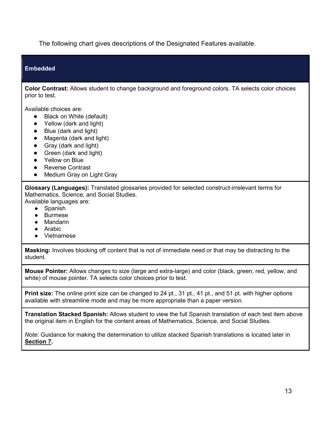The following chart gives descriptions of the Designated Features available.

#### **Embedded**

**Color Contrast:** Allows student to change background and foreground colors. TA selects color choices prior to test.

Available choices are:

- **Black on White (default)**
- Yellow (dark and light)
- Blue (dark and light)
- Magenta (dark and light)
- Gray (dark and light)
- Green (dark and light)
- Yellow on Blue
- Reverse Contrast
- Medium Gray on Light Gray

**Glossary (Languages):** Translated glossaries provided for selected construct-irrelevant terms for Mathematics, Science, and Social Studies.

Available languages are:

- Spanish
- Burmese
- Mandarin
- Arabic
- Vietnamese

**Masking:** Involves blocking off content that is not of immediate need or that may be distracting to the student.

**Mouse Pointer:** Allows changes to size (large and extra-large) and color (black, green, red, yellow, and white) of mouse pointer. TA selects color choices prior to test.

**Print size:** The online print size can be changed to 24 pt., 31 pt., 41 pt., and 51 pt. with higher options available with streamline mode and may be more appropriate than a paper version.

**Translation Stacked Spanish:** Allows student to view the full Spanish translation of each test item above the original item in English for the content areas of Mathematics, Science, and Social Studies.

*Note:* Guidance for making the determination to utilize stacked Spanish translations is located later in **[Section 7.](#page-38-0)**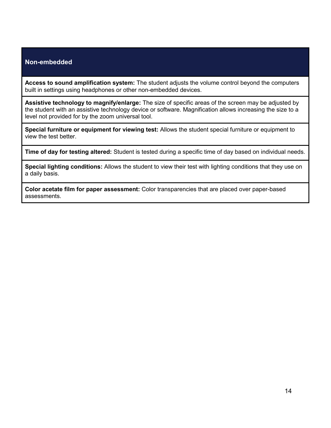### **Non-embedded**

**Access to sound amplification system:** The student adjusts the volume control beyond the computers built in settings using headphones or other non-embedded devices.

**Assistive technology to magnify/enlarge:** The size of specific areas of the screen may be adjusted by the student with an assistive technology device or software. Magnification allows increasing the size to a level not provided for by the zoom universal tool.

**Special furniture or equipment for viewing test:** Allows the student special furniture or equipment to view the test better.

**Time of day for testing altered:** Student is tested during a specific time of day based on individual needs.

**Special lighting conditions:** Allows the student to view their test with lighting conditions that they use on a daily basis.

<span id="page-13-0"></span>**Color acetate film for paper assessment:** Color transparencies that are placed over paper-based assessments.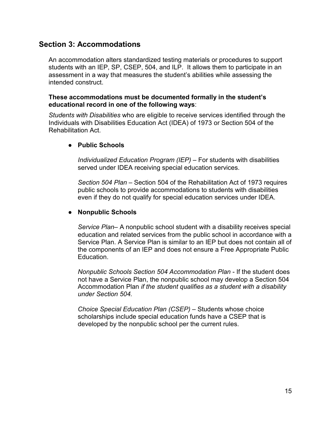### **Section 3: Accommodations**

An accommodation alters standardized testing materials or procedures to support students with an IEP, SP, CSEP, 504, and ILP. It allows them to participate in an assessment in a way that measures the student's abilities while assessing the intended construct.

### **These accommodations must be documented formally in the student's educational record in one of the following ways**:

*Students with Disabilities* who are eligible to receive services identified through the Individuals with Disabilities Education Act (IDEA) of 1973 or Section 504 of the Rehabilitation Act.

### ● **Public Schools**

*Individualized Education Program (IEP)* – For students with disabilities served under IDEA receiving special education services.

*Section 504 Plan* – Section 504 of the Rehabilitation Act of 1973 requires public schools to provide accommodations to students with disabilities even if they do not qualify for special education services under IDEA.

### ● **Nonpublic Schools**

*Service Plan*– A nonpublic school student with a disability receives special education and related services from the public school in accordance with a Service Plan. A Service Plan is similar to an IEP but does not contain all of the components of an IEP and does not ensure a Free Appropriate Public Education.

*Nonpublic Schools Section 504 Accommodation Plan* - If the student does not have a Service Plan, the nonpublic school may develop a Section 504 Accommodation Plan *if the student qualifies as a student with a disability under Section 504.* 

*Choice Special Education Plan (CSEP)* – Students whose choice scholarships include special education funds have a CSEP that is developed by the nonpublic school per the current rules.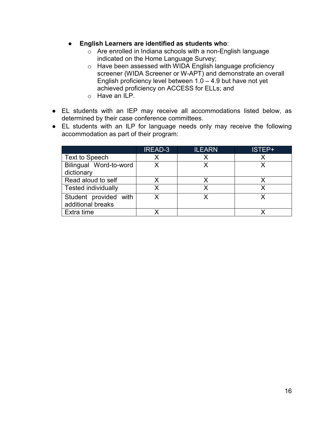- **English Learners are identified as students who**:
	- o Are enrolled in Indiana schools with a non-English language indicated on the Home Language Survey;
	- o Have been assessed with WIDA English language proficiency screener (WIDA Screener or W-APT) and demonstrate an overall English proficiency level between  $1.0 - 4.9$  but have not yet achieved proficiency on ACCESS for ELLs; and
	- o Have an ILP.
- EL students with an IEP may receive all accommodations listed below, as determined by their case conference committees.
- EL students with an ILP for language needs only may receive the following accommodation as part of their program:

|                            | <b>IREAD-3</b> | <b>ILEARN</b> | ISTEP+ |
|----------------------------|----------------|---------------|--------|
| Text to Speech             | Х              |               |        |
| Bilingual Word-to-word     |                |               |        |
| dictionary                 |                |               |        |
| Read aloud to self         |                |               |        |
| <b>Tested individually</b> |                |               |        |
| Student provided with      |                |               |        |
| additional breaks          |                |               |        |
| Extra time                 |                |               |        |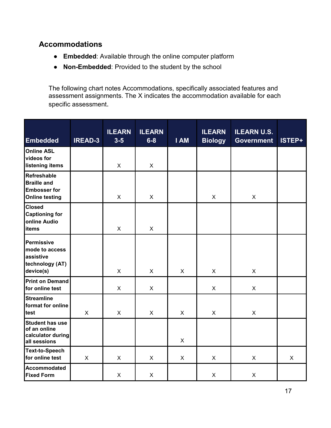### **Accommodations**

- **Embedded**: Available through the online computer platform
- **Non-Embedded**: Provided to the student by the school

The following chart notes Accommodations, specifically associated features and assessment assignments. The X indicates the accommodation available for each specific assessment.

| <b>Embedded</b>                                                                          | <b>IREAD-3</b> | <b>ILEARN</b><br>$3 - 5$ | <b>ILEARN</b><br>$6 - 8$ | I AM         | <b>ILEARN</b><br><b>Biology</b> | <b>ILEARN U.S.</b><br><b>Government</b> | ISTEP+       |
|------------------------------------------------------------------------------------------|----------------|--------------------------|--------------------------|--------------|---------------------------------|-----------------------------------------|--------------|
| <b>Online ASL</b><br>videos for<br>listening items                                       |                | X                        | $\mathsf{X}$             |              |                                 |                                         |              |
| <b>Refreshable</b><br><b>Braille and</b><br><b>Embosser for</b><br><b>Online testing</b> |                | $\mathsf{X}$             | $\sf X$                  |              | X                               | $\mathsf{X}$                            |              |
| <b>Closed</b><br><b>Captioning for</b><br>online Audio<br><b>items</b>                   |                | X                        | X                        |              |                                 |                                         |              |
| <b>Permissive</b><br>mode to access<br>assistive<br>technology (AT)<br>device(s)         |                | $\mathsf{X}$             | $\mathsf{X}$             | X            | X                               | $\mathsf{X}$                            |              |
| <b>Print on Demand</b><br>for online test                                                |                | $\mathsf{X}$             | $\mathsf{X}$             |              | $\mathsf{X}$                    | $\mathsf{X}$                            |              |
| <b>Streamline</b><br>format for online<br>test                                           | $\mathsf{X}$   | X                        | $\mathsf{X}$             | $\mathsf{X}$ | X                               | $\mathsf{X}$                            |              |
| <b>Student has use</b><br>of an online<br>calculator during<br>all sessions              |                |                          |                          | X            |                                 |                                         |              |
| <b>Text-to-Speech</b><br>for online test                                                 | $\sf X$        | $\sf X$                  | X                        | X            | X                               | $\mathsf{X}$                            | $\mathsf{X}$ |
| Accommodated<br><b>Fixed Form</b>                                                        |                | X                        | X                        |              | X                               | X                                       |              |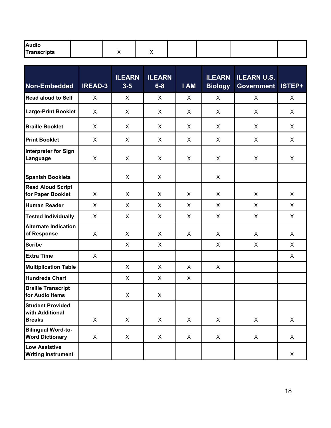| <b>Audio</b> |  |  |  |  |
|--------------|--|--|--|--|
| Transcripts  |  |  |  |  |

| Non-Embedded                                                | <b>IREAD-3</b> | <b>ILEARN</b><br>$3 - 5$ | <b>ILEARN</b><br>$6 - 8$ | I AM | <b>ILEARN</b><br><b>Biology</b> | <b>ILEARN U.S.</b><br><b>Government</b> | ISTEP+       |
|-------------------------------------------------------------|----------------|--------------------------|--------------------------|------|---------------------------------|-----------------------------------------|--------------|
| <b>Read aloud to Self</b>                                   | X              | X                        | X                        | X    | X                               | X                                       | X            |
| <b>Large-Print Booklet</b>                                  | X              | X                        | X                        | X    | X                               | X                                       | X            |
| <b>Braille Booklet</b>                                      | X              | X                        | X                        | X    | X                               | X                                       | $\mathsf{X}$ |
| <b>Print Booklet</b>                                        | X              | X                        | X                        | X    | X                               | X                                       | $\mathsf{X}$ |
| <b>Interpreter for Sign</b><br>Language                     | X              | X                        | $\pmb{\times}$           | X    | X                               | X                                       | $\mathsf{X}$ |
| <b>Spanish Booklets</b>                                     |                | X                        | X                        |      | X                               |                                         |              |
| <b>Read Aloud Script</b><br>for Paper Booklet               | X              | X                        | X                        | X    | X                               | X                                       | $\mathsf{X}$ |
| <b>Human Reader</b>                                         | X              | X                        | X                        | X    | X                               | X                                       | $\mathsf{X}$ |
| <b>Tested Individually</b>                                  | X              | X                        | X                        | X    | X                               | X                                       | $\mathsf{X}$ |
| <b>Alternate Indication</b><br>of Response                  | X              | X                        | X                        | X    | X                               | X                                       | $\mathsf{X}$ |
| <b>Scribe</b>                                               |                | X                        | X                        |      | X                               | X                                       | $\mathsf{X}$ |
| <b>Extra Time</b>                                           | X              |                          |                          |      |                                 |                                         | X            |
| <b>Multiplication Table</b>                                 |                | $\mathsf{X}$             | X                        | X    | X                               |                                         |              |
| <b>Hundreds Chart</b>                                       |                | $\mathsf{X}$             | X                        | X    |                                 |                                         |              |
| <b>Braille Transcript</b><br>for Audio Items                |                | X                        | X                        |      |                                 |                                         |              |
| <b>Student Provided</b><br>with Additional<br><b>Breaks</b> | $\mathsf{X}$   | $\mathsf{X}$             | X                        | X    | $\mathsf{X}$                    | $\mathsf{X}$                            | $\mathsf{X}$ |
| <b>Bilingual Word-to-</b><br><b>Word Dictionary</b>         | X.             | $\mathsf{X}$             | X                        | X.   | $\mathsf{X}$                    | X                                       | X            |
| <b>Low Assistive</b><br><b>Writing Instrument</b>           |                |                          |                          |      |                                 |                                         | X            |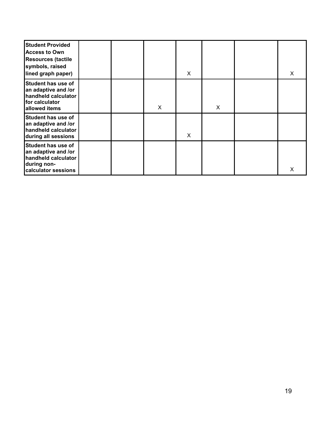| <b>Student Provided</b><br><b>Access to Own</b><br><b>Resources (tactile</b><br>symbols, raised<br>lined graph paper) |  |   | X |   | X |
|-----------------------------------------------------------------------------------------------------------------------|--|---|---|---|---|
| <b>Student has use of</b><br>an adaptive and /or<br>handheld calculator<br>for calculator<br>allowed items            |  | X |   | X |   |
| Student has use of<br>an adaptive and /or<br>handheld calculator<br>during all sessions                               |  |   | X |   |   |
| <b>Student has use of</b><br>an adaptive and /or<br>handheld calculator<br>during non-<br>calculator sessions         |  |   |   |   | X |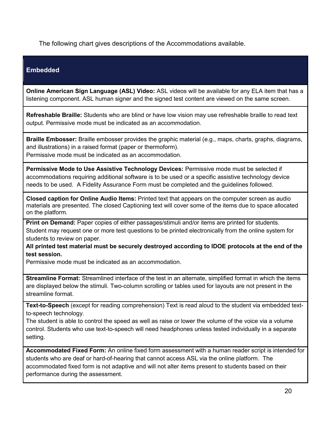The following chart gives descriptions of the Accommodations available.

### **Embedded**

**Online American Sign Language (ASL) Video:** ASL videos will be available for any ELA item that has a listening component. ASL human signer and the signed test content are viewed on the same screen.

**Refreshable Braille:** Students who are blind or have low vision may use refreshable braille to read text output. Permissive mode must be indicated as an accommodation.

**Braille Embosser:** Braille embosser provides the graphic material (e.g., maps, charts, graphs, diagrams, and illustrations) in a raised format (paper or thermoform). Permissive mode must be indicated as an accommodation.

**Permissive Mode to Use Assistive Technology Devices:** Permissive mode must be selected if accommodations requiring additional software is to be used or a specific assistive technology device needs to be used. A Fidelity Assurance Form must be completed and the guidelines followed.

**Closed caption for Online Audio Items:** Printed text that appears on the computer screen as audio materials are presented. The closed Captioning text will cover some of the items due to space allocated on the platform.

**Print on Demand:** Paper copies of either passages/stimuli and/or items are printed for students. Student may request one or more test questions to be printed electronically from the online system for students to review on paper.

**All printed test material must be securely destroyed according to IDOE protocols at the end of the test session.**

Permissive mode must be indicated as an accommodation.

**Streamline Format:** Streamlined interface of the test in an alternate, simplified format in which the items are displayed below the stimuli. Two-column scrolling or tables used for layouts are not present in the streamline format.

**Text-to-Speech** (except for reading comprehension) Text is read aloud to the student via embedded textto-speech technology.

The student is able to control the speed as well as raise or lower the volume of the voice via a volume control. Students who use text-to-speech will need headphones unless tested individually in a separate setting.

**Accommodated Fixed Form:** An online fixed form assessment with a human reader script is intended for students who are deaf or hard-of-hearing that cannot access ASL via the online platform. The accommodated fixed form is not adaptive and will not alter items present to students based on their performance during the assessment.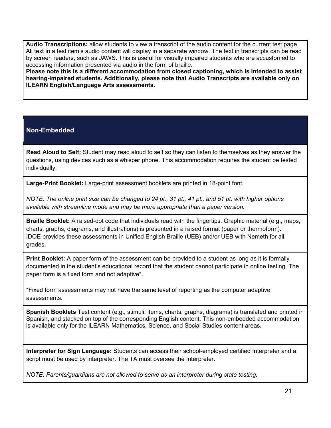**Audio Transcriptions:** allow students to view a transcript of the audio content for the current test page. All text in a test item's audio content will display in a separate window. The text in transcripts can be read by screen readers, such as JAWS. This is useful for visually impaired students who are accustomed to accessing information presented via audio in the form of braille.

**Please note this is a different accommodation from closed captioning, which is intended to assist hearing-impaired students. Additionally, please note that Audio Transcripts are available only on ILEARN English/Language Arts assessments.**

### **Non-Embedded**

**Read Aloud to Self:** Student may read aloud to self so they can listen to themselves as they answer the questions, using devices such as a whisper phone. This accommodation requires the student be tested individually.

**Large-Print Booklet:** Large-print assessment booklets are printed in 18-point font.

*NOTE: The online print size can be changed to 24 pt., 31 pt., 41 pt., and 51 pt. with higher options available with streamline mode and may be more appropriate than a paper version.*

**Braille Booklet:** A raised-dot code that individuals read with the fingertips. Graphic material (e.g., maps, charts, graphs, diagrams, and illustrations) is presented in a raised format (paper or thermoform). IDOE provides these assessments in Unified English Braille (UEB) and/or UEB with Nemeth for all grades.

**Print Booklet:** A paper form of the assessment can be provided to a student as long as it is formally documented in the student's educational record that the student cannot participate in online testing. The paper form is a fixed form and not adaptive\*.

\*Fixed form assessments may not have the same level of reporting as the computer adaptive assessments.

**Spanish Booklets** Test content (e.g., stimuli, items, charts, graphs, diagrams) is translated and printed in Spanish, and stacked on top of the corresponding English content. This non-embedded accommodation is available only for the ILEARN Mathematics, Science, and Social Studies content areas.

**Interpreter for Sign Language:** Students can access their school-employed certified Interpreter and a script must be used by interpreter. The TA must oversee the Interpreter.

*NOTE: Parents/guardians are not allowed to serve as an interpreter during state testing.*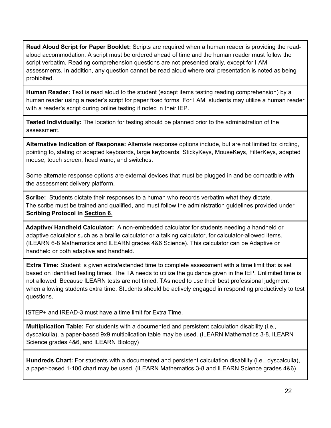**Read Aloud Script for Paper Booklet:** Scripts are required when a human reader is providing the readaloud accommodation. A script must be ordered ahead of time and the human reader must follow the script verbatim. Reading comprehension questions are not presented orally, except for I AM assessments. In addition, any question cannot be read aloud where oral presentation is noted as being prohibited.

**Human Reader:** Text is read aloud to the student (except items testing reading comprehension) by a human reader using a reader's script for paper fixed forms. For I AM, students may utilize a human reader with a reader's script during online testing if noted in their IEP.

**Tested Individually:** The location for testing should be planned prior to the administration of the assessment.

**Alternative Indication of Response:** Alternate response options include, but are not limited to: circling, pointing to, stating or adapted keyboards, large keyboards, StickyKeys, MouseKeys, FilterKeys, adapted mouse, touch screen, head wand, and switches.

Some alternate response options are external devices that must be plugged in and be compatible with the assessment delivery platform.

**Scribe:** Students dictate their responses to a human who records verbatim what they dictate. The scribe must be trained and qualified, and must follow the administration guidelines provided under **Scribing Protocol in [Section 6](#page-34-0)**[.](#page-34-0)

**Adaptive/ Handheld Calculator:** A non-embedded calculator for students needing a handheld or adaptive calculator such as a braille calculator or a talking calculator, for calculator-allowed items. (ILEARN 6-8 Mathematics and ILEARN grades 4&6 Science). This calculator can be Adaptive or handheld or both adaptive and handheld.

**Extra Time:** Student is given extra/extended time to complete assessment with a time limit that is set based on identified testing times. The TA needs to utilize the guidance given in the IEP. Unlimited time is not allowed. Because ILEARN tests are not timed, TAs need to use their best professional judgment when allowing students extra time. Students should be actively engaged in responding productively to test questions.

ISTEP+ and IREAD-3 must have a time limit for Extra Time.

**Multiplication Table:** For students with a documented and persistent calculation disability (i.e., dyscalculia), a paper-based 9x9 multiplication table may be used. (ILEARN Mathematics 3-8, ILEARN Science grades 4&6, and ILEARN Biology)

**Hundreds Chart:** For students with a documented and persistent calculation disability (i.e., dyscalculia), a paper-based 1-100 chart may be used. (ILEARN Mathematics 3-8 and ILEARN Science grades 4&6)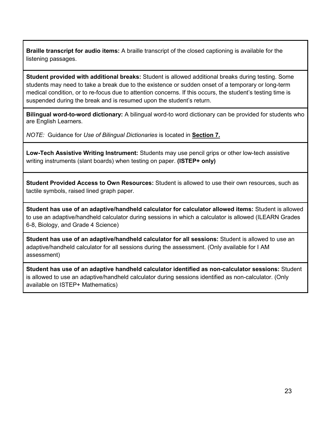**Braille transcript for audio items:** A braille transcript of the closed captioning is available for the listening passages.

**Student provided with additional breaks:** Student is allowed additional breaks during testing. Some students may need to take a break due to the existence or sudden onset of a temporary or long-term medical condition, or to re-focus due to attention concerns. If this occurs, the student's testing time is suspended during the break and is resumed upon the student's return.

**Bilingual word-to-word dictionary:** A bilingual word-to word dictionary can be provided for students who are English Learners.

*NOTE:* Guidance for *Use of Bilingual Dictionaries* is located in **[Section 7.](#page-38-0)**

**Low-Tech Assistive Writing Instrument:** Students may use pencil grips or other low-tech assistive writing instruments (slant boards) when testing on paper. **(ISTEP+ only)**

**Student Provided Access to Own Resources:** Student is allowed to use their own resources, such as tactile symbols, raised lined graph paper.

**Student has use of an adaptive/handheld calculator for calculator allowed items:** Student is allowed to use an adaptive/handheld calculator during sessions in which a calculator is allowed (ILEARN Grades 6-8, Biology, and Grade 4 Science)

**Student has use of an adaptive/handheld calculator for all sessions:** Student is allowed to use an adaptive/handheld calculator for all sessions during the assessment. (Only available for I AM assessment)

**Student has use of an adaptive handheld calculator identified as non-calculator sessions:** Student is allowed to use an adaptive/handheld calculator during sessions identified as non-calculator. (Only available on ISTEP+ Mathematics)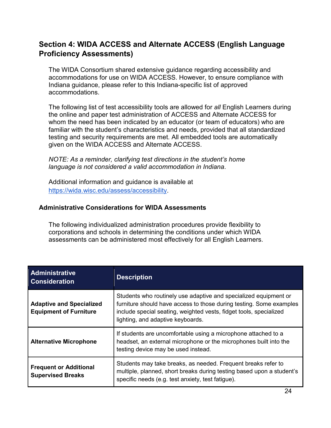### <span id="page-23-0"></span>**Section 4: WIDA ACCESS and Alternate ACCESS (English Language Proficiency Assessments)**

The WIDA Consortium shared extensive guidance regarding accessibility and accommodations for use on WIDA ACCESS. However, to ensure compliance with Indiana guidance, please refer to this Indiana-specific list of approved accommodations.

The following list of test accessibility tools are allowed for *all* English Learners during the online and paper test administration of ACCESS and Alternate ACCESS for whom the need has been indicated by an educator (or team of educators) who are familiar with the student's characteristics and needs, provided that all standardized testing and security requirements are met. All embedded tools are automatically given on the WIDA ACCESS and Alternate ACCESS.

*NOTE: As a reminder, clarifying test directions in the student's home language is not considered a valid accommodation in Indiana*.

Additional information and guidance is available at [https://wida.wisc.edu/assess/accessibility.](https://wida.wisc.edu/assess/accessibility)

### **Administrative Considerations for WIDA Assessments**

The following individualized administration procedures provide flexibility to corporations and schools in determining the conditions under which WIDA assessments can be administered most effectively for all English Learners.

| <b>Administrative</b><br><b>Consideration</b>                    | <b>Description</b>                                                                                                                                                                                                                                 |
|------------------------------------------------------------------|----------------------------------------------------------------------------------------------------------------------------------------------------------------------------------------------------------------------------------------------------|
| <b>Adaptive and Specialized</b><br><b>Equipment of Furniture</b> | Students who routinely use adaptive and specialized equipment or<br>furniture should have access to those during testing. Some examples<br>include special seating, weighted vests, fidget tools, specialized<br>lighting, and adaptive keyboards. |
| <b>Alternative Microphone</b>                                    | If students are uncomfortable using a microphone attached to a<br>headset, an external microphone or the microphones built into the<br>testing device may be used instead.                                                                         |
| <b>Frequent or Additional</b><br><b>Supervised Breaks</b>        | Students may take breaks, as needed. Frequent breaks refer to<br>multiple, planned, short breaks during testing based upon a student's<br>specific needs (e.g. test anxiety, test fatigue).                                                        |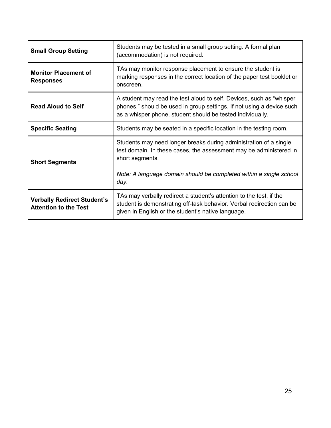| <b>Small Group Setting</b>                                         | Students may be tested in a small group setting. A formal plan<br>(accommodation) is not required.                                                                                                                                       |  |
|--------------------------------------------------------------------|------------------------------------------------------------------------------------------------------------------------------------------------------------------------------------------------------------------------------------------|--|
| <b>Monitor Placement of</b><br><b>Responses</b>                    | TAs may monitor response placement to ensure the student is<br>marking responses in the correct location of the paper test booklet or<br>onscreen.                                                                                       |  |
| <b>Read Aloud to Self</b>                                          | A student may read the test aloud to self. Devices, such as "whisper"<br>phones," should be used in group settings. If not using a device such<br>as a whisper phone, student should be tested individually.                             |  |
| <b>Specific Seating</b>                                            | Students may be seated in a specific location in the testing room.                                                                                                                                                                       |  |
| <b>Short Segments</b>                                              | Students may need longer breaks during administration of a single<br>test domain. In these cases, the assessment may be administered in<br>short segments.<br>Note: A language domain should be completed within a single school<br>day. |  |
| <b>Verbally Redirect Student's</b><br><b>Attention to the Test</b> | TAs may verbally redirect a student's attention to the test, if the<br>student is demonstrating off-task behavior. Verbal redirection can be<br>given in English or the student's native language.                                       |  |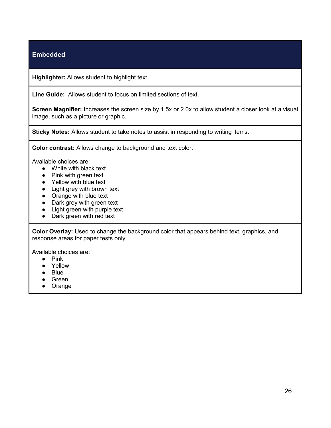### **Embedded**

**Highlighter:** Allows student to highlight text.

**Line Guide:** Allows student to focus on limited sections of text.

**Screen Magnifier:** Increases the screen size by 1.5x or 2.0x to allow student a closer look at a visual image, such as a picture or graphic.

**Sticky Notes:** Allows student to take notes to assist in responding to writing items.

**Color contrast:** Allows change to background and text color.

Available choices are:

- White with black text
- Pink with green text
- Yellow with blue text
- Light grey with brown text
- Orange with blue text
- Dark grey with green text
- Light green with purple text
- Dark green with red text

**Color Overlay:** Used to change the background color that appears behind text, graphics, and response areas for paper tests only.

Available choices are:

- Pink
- Yellow
- Blue
- Green
- Orange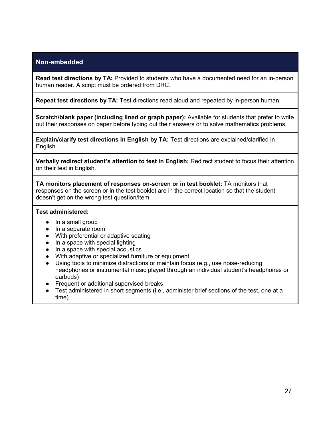### **Non-embedded**

**Read test directions by TA:** Provided to students who have a documented need for an in-person human reader. A script must be ordered from DRC.

**Repeat test directions by TA:** Test directions read aloud and repeated by in-person human.

**Scratch/blank paper (including lined or graph paper):** Available for students that prefer to write out their responses on paper before typing out their answers or to solve mathematics problems.

**Explain/clarify test directions in English by TA:** Test directions are explained/clarified in English.

**Verbally redirect student's attention to test in English:** Redirect student to focus their attention on their test in English.

**TA monitors placement of responses on-screen or in test booklet:** TA monitors that responses on the screen or in the test booklet are in the correct location so that the student doesn't get on the wrong test question/item.

#### **Test administered:**

- In a small group
- In a separate room
- With preferential or adaptive seating
- In a space with special lighting
- In a space with special acoustics
- With adaptive or specialized furniture or equipment
- Using tools to minimize distractions or maintain focus (e.g., use noise-reducing headphones or instrumental music played through an individual student's headphones or earbuds)
- Frequent or additional supervised breaks
- Test administered in short segments (i.e., administer brief sections of the test, one at a time)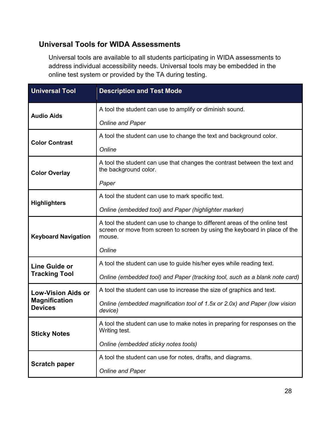### **Universal Tools for WIDA Assessments**

Universal tools are available to all students participating in WIDA assessments to address individual accessibility needs. Universal tools may be embedded in the online test system or provided by the TA during testing.

| <b>Universal Tool</b>                  | <b>Description and Test Mode</b>                                                                                                                                   |  |  |
|----------------------------------------|--------------------------------------------------------------------------------------------------------------------------------------------------------------------|--|--|
| <b>Audio Aids</b>                      | A tool the student can use to amplify or diminish sound.                                                                                                           |  |  |
|                                        | <b>Online and Paper</b>                                                                                                                                            |  |  |
| <b>Color Contrast</b>                  | A tool the student can use to change the text and background color.                                                                                                |  |  |
|                                        | Online                                                                                                                                                             |  |  |
| <b>Color Overlay</b>                   | A tool the student can use that changes the contrast between the text and<br>the background color.                                                                 |  |  |
|                                        | Paper                                                                                                                                                              |  |  |
|                                        | A tool the student can use to mark specific text.                                                                                                                  |  |  |
| <b>Highlighters</b>                    | Online (embedded tool) and Paper (highlighter marker)                                                                                                              |  |  |
| <b>Keyboard Navigation</b>             | A tool the student can use to change to different areas of the online test<br>screen or move from screen to screen by using the keyboard in place of the<br>mouse. |  |  |
|                                        | Online                                                                                                                                                             |  |  |
| <b>Line Guide or</b>                   | A tool the student can use to guide his/her eyes while reading text.                                                                                               |  |  |
| <b>Tracking Tool</b>                   | Online (embedded tool) and Paper (tracking tool, such as a blank note card)                                                                                        |  |  |
| <b>Low-Vision Aids or</b>              | A tool the student can use to increase the size of graphics and text.                                                                                              |  |  |
| <b>Magnification</b><br><b>Devices</b> | Online (embedded magnification tool of 1.5x or 2.0x) and Paper (low vision<br>device)                                                                              |  |  |
| <b>Sticky Notes</b>                    | A tool the student can use to make notes in preparing for responses on the<br>Writing test.                                                                        |  |  |
|                                        | Online (embedded sticky notes tools)                                                                                                                               |  |  |
|                                        | A tool the student can use for notes, drafts, and diagrams.                                                                                                        |  |  |
| <b>Scratch paper</b>                   | <b>Online and Paper</b>                                                                                                                                            |  |  |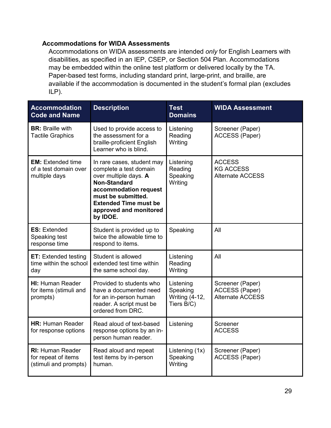### **Accommodations for WIDA Assessments**

Accommodations on WIDA assessments are intended *only* for English Learners with disabilities, as specified in an IEP, CSEP, or Section 504 Plan. Accommodations may be embedded within the online test platform or delivered locally by the TA. Paper-based test forms, including standard print, large-print, and braille, are available if the accommodation is documented in the student's formal plan (excludes ILP).

| <b>Accommodation</b><br><b>Code and Name</b>                            | <b>Description</b>                                                                                                                                                                                                        | <b>Test</b><br><b>Domains</b>                                | <b>WIDA Assessment</b>                                               |
|-------------------------------------------------------------------------|---------------------------------------------------------------------------------------------------------------------------------------------------------------------------------------------------------------------------|--------------------------------------------------------------|----------------------------------------------------------------------|
| <b>BR:</b> Braille with<br><b>Tactile Graphics</b>                      | Used to provide access to<br>the assessment for a<br>braille-proficient English<br>Learner who is blind.                                                                                                                  | Listening<br>Reading<br>Writing                              | Screener (Paper)<br><b>ACCESS (Paper)</b>                            |
| <b>EM:</b> Extended time<br>of a test domain over<br>multiple days      | In rare cases, student may<br>complete a test domain<br>over multiple days. A<br><b>Non-Standard</b><br>accommodation request<br>must be submitted.<br><b>Extended Time must be</b><br>approved and monitored<br>by IDOE. | Listening<br>Reading<br>Speaking<br>Writing                  | <b>ACCESS</b><br><b>KG ACCESS</b><br><b>Alternate ACCESS</b>         |
| <b>ES: Extended</b><br>Speaking test<br>response time                   | Student is provided up to<br>twice the allowable time to<br>respond to items.                                                                                                                                             | Speaking                                                     | All                                                                  |
| <b>ET:</b> Extended testing<br>time within the school<br>day            | Student is allowed<br>extended test time within<br>the same school day.                                                                                                                                                   | Listening<br>Reading<br>Writing                              | All                                                                  |
| <b>HI: Human Reader</b><br>for items (stimuli and<br>prompts)           | Provided to students who<br>have a documented need<br>for an in-person human<br>reader. A script must be<br>ordered from DRC.                                                                                             | Listening<br>Speaking<br><b>Writing (4-12,</b><br>Tiers B/C) | Screener (Paper)<br><b>ACCESS (Paper)</b><br><b>Alternate ACCESS</b> |
| <b>HR: Human Reader</b><br>for response options                         | Read aloud of text-based<br>response options by an in-<br>person human reader.                                                                                                                                            | Listening                                                    | Screener<br><b>ACCESS</b>                                            |
| <b>RI: Human Reader</b><br>for repeat of items<br>(stimuli and prompts) | Read aloud and repeat<br>test items by in-person<br>human.                                                                                                                                                                | Listening (1x)<br>Speaking<br>Writing                        | Screener (Paper)<br><b>ACCESS (Paper)</b>                            |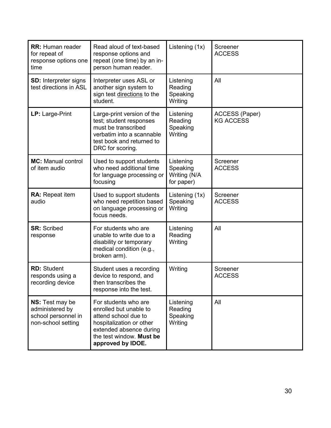| <b>RR:</b> Human reader<br>for repeat of<br>response options one<br>time        | Read aloud of text-based<br>response options and<br>repeat (one time) by an in-<br>person human reader.                                                                        | Listening (1x)                                      | Screener<br><b>ACCESS</b>          |
|---------------------------------------------------------------------------------|--------------------------------------------------------------------------------------------------------------------------------------------------------------------------------|-----------------------------------------------------|------------------------------------|
| <b>SD:</b> Interpreter signs<br>test directions in ASL                          | Interpreter uses ASL or<br>another sign system to<br>sign test directions to the<br>student.                                                                                   | Listening<br>Reading<br>Speaking<br>Writing         | All                                |
| LP: Large-Print                                                                 | Large-print version of the<br>test; student responses<br>must be transcribed<br>verbatim into a scannable<br>test book and returned to<br>DRC for scoring.                     | Listening<br>Reading<br>Speaking<br>Writing         | ACCESS (Paper)<br><b>KG ACCESS</b> |
| <b>MC:</b> Manual control<br>of item audio                                      | Used to support students<br>who need additional time<br>for language processing or<br>focusing                                                                                 | Listening<br>Speaking<br>Writing (N/A<br>for paper) | Screener<br><b>ACCESS</b>          |
| RA: Repeat item<br>audio                                                        | Used to support students<br>who need repetition based<br>on language processing or<br>focus needs.                                                                             | Listening (1x)<br>Speaking<br>Writing               | Screener<br><b>ACCESS</b>          |
| <b>SR: Scribed</b><br>response                                                  | For students who are<br>unable to write due to a<br>disability or temporary<br>medical condition (e.g.,<br>broken arm).                                                        | Listening<br>Reading<br>Writing                     | All                                |
| <b>RD: Student</b><br>responds using a<br>recording device                      | Student uses a recording<br>device to respond, and<br>then transcribes the<br>response into the test.                                                                          | Writing                                             | Screener<br><b>ACCESS</b>          |
| NS: Test may be<br>administered by<br>school personnel in<br>non-school setting | For students who are<br>enrolled but unable to<br>attend school due to<br>hospitalization or other<br>extended absence during<br>the test window. Must be<br>approved by IDOE. | Listening<br>Reading<br>Speaking<br>Writing         | All                                |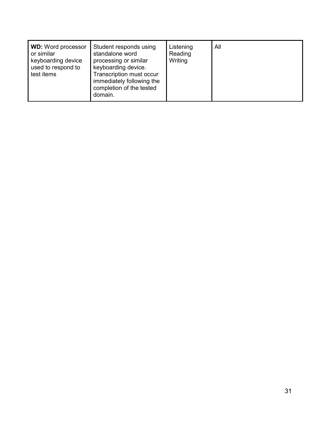| <b>WD:</b> Word processor<br>or similar<br>keyboarding device<br>used to respond to<br>test items | Student responds using<br>standalone word<br>processing or similar<br>keyboarding device.<br><b>Transcription must occur</b><br>immediately following the<br>completion of the tested<br>domain. | Listening<br>Reading<br>Writing | All |
|---------------------------------------------------------------------------------------------------|--------------------------------------------------------------------------------------------------------------------------------------------------------------------------------------------------|---------------------------------|-----|
|---------------------------------------------------------------------------------------------------|--------------------------------------------------------------------------------------------------------------------------------------------------------------------------------------------------|---------------------------------|-----|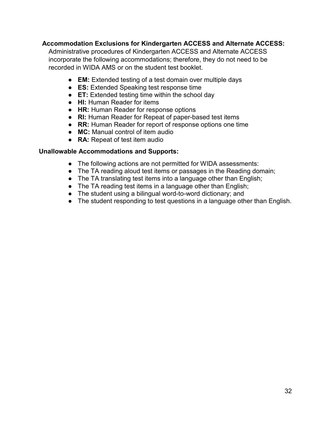### **Accommodation Exclusions for Kindergarten ACCESS and Alternate ACCESS:**

Administrative procedures of Kindergarten ACCESS and Alternate ACCESS incorporate the following accommodations; therefore, they do not need to be recorded in WIDA AMS or on the student test booklet.

- **EM:** Extended testing of a test domain over multiple days
- **ES:** Extended Speaking test response time
- **ET:** Extended testing time within the school day
- **HI:** Human Reader for items
- **HR:** Human Reader for response options
- **RI:** Human Reader for Repeat of paper-based test items
- **RR:** Human Reader for report of response options one time
- **MC:** Manual control of item audio
- **RA:** Repeat of test item audio

### **Unallowable Accommodations and Supports:**

- The following actions are not permitted for WIDA assessments:
- The TA reading aloud test items or passages in the Reading domain;
- The TA translating test items into a language other than English;
- $\bullet$  The TA reading test items in a language other than English;
- The student using a bilingual word-to-word dictionary; and
- The student responding to test questions in a language other than English.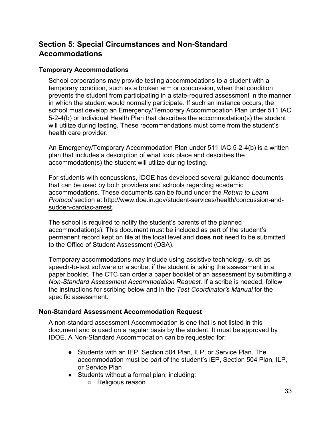### <span id="page-32-0"></span>**Section 5: Special Circumstances and Non-Standard Accommodations**

### <span id="page-32-1"></span>**Temporary Accommodations**

School corporations may provide testing accommodations to a student with a temporary condition, such as a broken arm or concussion, when that condition prevents the student from participating in a state-required assessment in the manner in which the student would normally participate. If such an instance occurs, the school must develop an Emergency/Temporary Accommodation Plan under 511 IAC 5-2-4(b) or Individual Health Plan that describes the accommodation(s) the student will utilize during testing. These recommendations must come from the student's health care provider.

An Emergency/Temporary Accommodation Plan under 511 IAC 5-2-4(b) is a written plan that includes a description of what took place and describes the accommodation(s) the student will utilize during testing.

For students with concussions, IDOE has developed several guidance documents that can be used by both providers and schools regarding academic accommodations. These documents can be found under the *Return to Learn Protocol* section at [http://www.doe.in.gov/student-services/health/concussion-and](http://www.doe.in.gov/student-services/health/concussion-and-sudden-cardiac-arrest)[sudden-cardiac-arrest.](http://www.doe.in.gov/student-services/health/concussion-and-sudden-cardiac-arrest)

The school is required to notify the student's parents of the planned accommodation(s). This document must be included as part of the student's permanent record kept on file at the local level and **does not** need to be submitted to the Office of Student Assessment (OSA).

Temporary accommodations may include using assistive technology, such as speech-to-text software or a scribe, if the student is taking the assessment in a paper booklet. The CTC can order a paper booklet of an assessment by submitting a *Non-Standard Assessment Accommodation Request.* If a scribe is needed, follow the instructions for scribing below and in the *Test Coordinator's Manual* for the specific assessment*.* 

### <span id="page-32-2"></span>**[Non-Standard Assessment Accommodation Request](https://form.jotform.com/91536185269971)**

A non-standard assessment Accommodation is one that is not listed in this document and is used on a regular basis by the student. It must be approved by IDOE. A Non-Standard Accommodation can be requested for:

- Students with an IEP, Section 504 Plan, ILP, or Service Plan. The accommodation must be part of the student's IEP, Section 504 Plan, ILP, or Service Plan
- Students without a formal plan, including:
	- Religious reason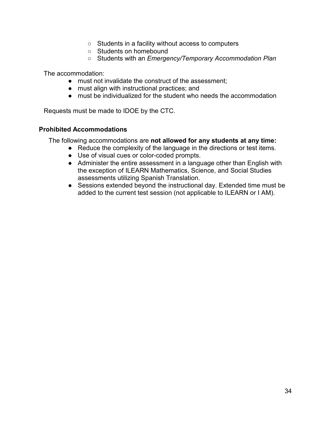- Students in a facility without access to computers
- Students on homebound
- Students with an *Emergency/Temporary Accommodation Plan*

The accommodation:

- must not invalidate the construct of the assessment;
- must align with instructional practices; and
- must be individualized for the student who needs the accommodation

Requests must be made to IDOE by the CTC.

#### <span id="page-33-0"></span>**Prohibited Accommodations**

The following accommodations are **not allowed for any students at any time:**

- Reduce the complexity of the language in the directions or test items.
- Use of visual cues or color-coded prompts.
- Administer the entire assessment in a language other than English with the exception of ILEARN Mathematics, Science, and Social Studies assessments utilizing Spanish Translation.
- Sessions extended beyond the instructional day. Extended time must be added to the current test session (not applicable to ILEARN or I AM).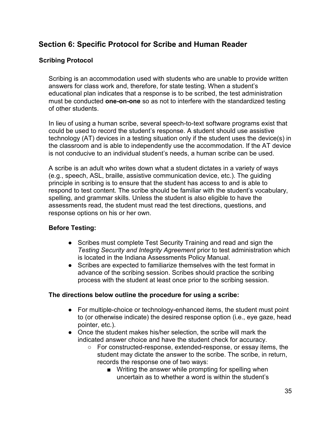### <span id="page-34-0"></span>**Section 6: Specific Protocol for Scribe and Human Reader**

### <span id="page-34-1"></span>**Scribing Protocol**

Scribing is an accommodation used with students who are unable to provide written answers for class work and, therefore, for state testing. When a student's educational plan indicates that a response is to be scribed, the test administration must be conducted **one-on-one** so as not to interfere with the standardized testing of other students.

In lieu of using a human scribe, several speech-to-text software programs exist that could be used to record the student's response. A student should use assistive technology (AT) devices in a testing situation only if the student uses the device(s) in the classroom and is able to independently use the accommodation. If the AT device is not conducive to an individual student's needs, a human scribe can be used.

A scribe is an adult who writes down what a student dictates in a variety of ways (e.g., speech, ASL, braille, assistive communication device, etc.). The guiding principle in scribing is to ensure that the student has access to and is able to respond to test content. The scribe should be familiar with the student's vocabulary, spelling, and grammar skills. Unless the student is also eligible to have the assessments read, the student must read the test directions, questions, and response options on his or her own.

### **Before Testing:**

- Scribes must complete Test Security Training and read and sign the *Testing Security and Integrity Agreement* prior to test administration which is located in the Indiana Assessments Policy Manual.
- Scribes are expected to familiarize themselves with the test format in advance of the scribing session. Scribes should practice the scribing process with the student at least once prior to the scribing session.

### **The directions below outline the procedure for using a scribe:**

- For multiple-choice or technology-enhanced items, the student must point to (or otherwise indicate) the desired response option (i.e., eye gaze, head pointer, etc.).
- Once the student makes his/her selection, the scribe will mark the indicated answer choice and have the student check for accuracy.
	- For constructed-response, extended-response, or essay items, the student may dictate the answer to the scribe. The scribe, in return, records the response one of two ways:
		- Writing the answer while prompting for spelling when uncertain as to whether a word is within the student's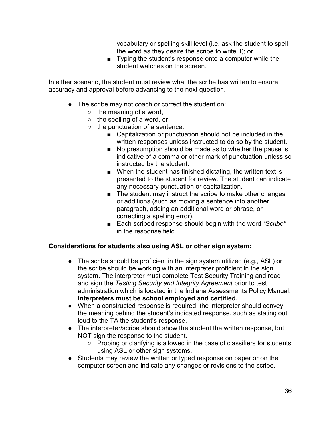vocabulary or spelling skill level (i.e. ask the student to spell the word as they desire the scribe to write it); or

■ Typing the student's response onto a computer while the student watches on the screen.

In either scenario, the student must review what the scribe has written to ensure accuracy and approval before advancing to the next question.

- The scribe may not coach or correct the student on:
	- $\circ$  the meaning of a word,
	- $\circ$  the spelling of a word, or
	- $\circ$  the punctuation of a sentence.
		- Capitalization or punctuation should not be included in the written responses unless instructed to do so by the student.
		- No presumption should be made as to whether the pause is indicative of a comma or other mark of punctuation unless so instructed by the student.
		- When the student has finished dictating, the written text is presented to the student for review. The student can indicate any necessary punctuation or capitalization.
		- The student may instruct the scribe to make other changes or additions (such as moving a sentence into another paragraph, adding an additional word or phrase, or correcting a spelling error).
		- Each scribed response should begin with the word "Scribe" in the response field.

#### **Considerations for students also using ASL or other sign system:**

- The scribe should be proficient in the sign system utilized (e.g., ASL) or the scribe should be working with an interpreter proficient in the sign system. The interpreter must complete Test Security Training and read and sign the *Testing Security and Integrity Agreement* prior to test administration which is located in the Indiana Assessments Policy Manual. **Interpreters must be school employed and certified.**
- When a constructed response is required, the interpreter should convey the meaning behind the student's indicated response, such as stating out loud to the TA the student's response.
- The interpreter/scribe should show the student the written response, but NOT sign the response to the student.
	- Probing or clarifying is allowed in the case of classifiers for students using ASL or other sign systems.
- Students may review the written or typed response on paper or on the computer screen and indicate any changes or revisions to the scribe.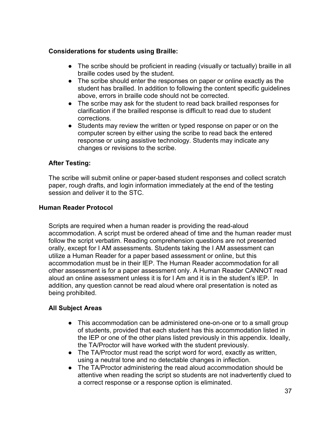### **Considerations for students using Braille:**

- The scribe should be proficient in reading (visually or tactually) braille in all braille codes used by the student.
- The scribe should enter the responses on paper or online exactly as the student has brailled. In addition to following the content specific guidelines above, errors in braille code should not be corrected.
- The scribe may ask for the student to read back brailled responses for clarification if the brailled response is difficult to read due to student corrections.
- Students may review the written or typed response on paper or on the computer screen by either using the scribe to read back the entered response or using assistive technology. Students may indicate any changes or revisions to the scribe.

### **After Testing:**

The scribe will submit online or paper-based student responses and collect scratch paper, rough drafts, and login information immediately at the end of the testing session and deliver it to the STC.

### <span id="page-36-0"></span>**Human Reader Protocol**

Scripts are required when a human reader is providing the read-aloud accommodation. A script must be ordered ahead of time and the human reader must follow the script verbatim. Reading comprehension questions are not presented orally, except for I AM assessments. Students taking the I AM assessment can utilize a Human Reader for a paper based assessment or online, but this accommodation must be in their IEP. The Human Reader accommodation for all other assessment is for a paper assessment only. A Human Reader CANNOT read aloud an online assessment unless it is for I Am and it is in the student's IEP. In addition, any question cannot be read aloud where oral presentation is noted as being prohibited.

### **All Subject Areas**

- This accommodation can be administered one-on-one or to a small group of students, provided that each student has this accommodation listed in the IEP or one of the other plans listed previously in this appendix. Ideally, the TA/Proctor will have worked with the student previously.
- The TA/Proctor must read the script word for word, exactly as written, using a neutral tone and no detectable changes in inflection.
- The TA/Proctor administering the read aloud accommodation should be attentive when reading the script so students are not inadvertently clued to a correct response or a response option is eliminated.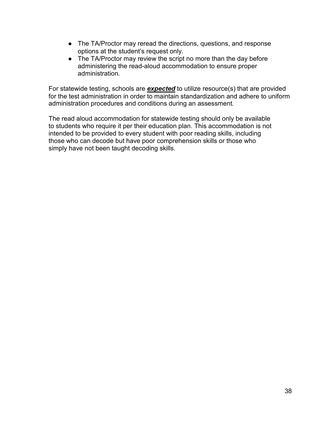- The TA/Proctor may reread the directions, questions, and response options at the student's request only.
- The TA/Proctor may review the script no more than the day before administering the read-aloud accommodation to ensure proper administration.

For statewide testing, schools are *expected* to utilize resource(s) that are provided for the test administration in order to maintain standardization and adhere to uniform administration procedures and conditions during an assessment*.* 

The read aloud accommodation for statewide testing should only be available to students who require it per their education plan. This accommodation is not intended to be provided to every student with poor reading skills, including those who can decode but have poor comprehension skills or those who simply have not been taught decoding skills.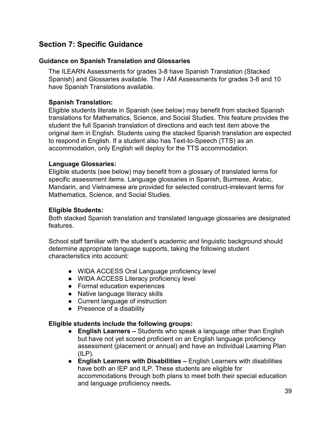### <span id="page-38-0"></span>**Section 7: Specific Guidance**

### <span id="page-38-1"></span>**Guidance on Spanish Translation and Glossaries**

The ILEARN Assessments for grades 3-8 have Spanish Translation (Stacked Spanish) and Glossaries available. The I AM Assessments for grades 3-8 and 10 have Spanish Translations available.

### **Spanish Translation:**

Eligible students literate in Spanish (see below) may benefit from stacked Spanish translations for Mathematics, Science, and Social Studies. This feature provides the student the full Spanish translation of directions and each test item above the original item in English. Students using the stacked Spanish translation are expected to respond in English. If a student also has Text-to-Speech (TTS) as an accommodation, only English will deploy for the TTS accommodation.

### **Language Glossaries:**

Eligible students (see below) may benefit from a glossary of translated terms for specific assessment items. Language glossaries in Spanish, Burmese, Arabic, Mandarin, and Vietnamese are provided for selected construct-irrelevant terms for Mathematics, Science, and Social Studies.

### **Eligible Students:**

Both stacked Spanish translation and translated language glossaries are designated features.

School staff familiar with the student's academic and linguistic background should determine appropriate language supports, taking the following student characteristics into account:

- WIDA ACCESS Oral Language proficiency level
- WIDA ACCESS Literacy proficiency level
- Formal education experiences
- Native language literacy skills
- Current language of instruction
- Presence of a disability

### **Eligible students include the following groups:**

- **English Learners –** Students who speak a language other than English but have not yet scored proficient on an English language proficiency assessment (placement or annual) and have an Individual Learning Plan  $(ILP)$ .
- **English Learners with Disabilities –** English Learners with disabilities have both an IEP and ILP. These students are eligible for accommodations through both plans to meet both their special education and language proficiency needs**.**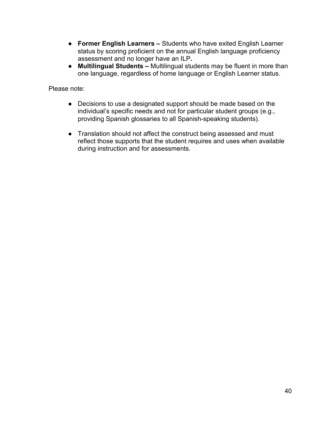- **Former English Learners –** Students who have exited English Learner status by scoring proficient on the annual English language proficiency assessment and no longer have an ILP**.**
- **Multilingual Students –** Multilingual students may be fluent in more than one language, regardless of home language or English Learner status.

Please note:

- Decisions to use a designated support should be made based on the individual's specific needs and not for particular student groups (e.g., providing Spanish glossaries to all Spanish-speaking students).
- Translation should not affect the construct being assessed and must reflect those supports that the student requires and uses when available during instruction and for assessments.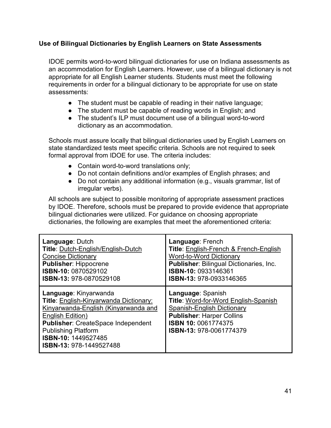### <span id="page-40-0"></span>**Use of Bilingual Dictionaries by English Learners on State Assessments**

IDOE permits word-to-word bilingual dictionaries for use on Indiana assessments as an accommodation for English Learners. However, use of a bilingual dictionary is not appropriate for all English Learner students. Students must meet the following requirements in order for a bilingual dictionary to be appropriate for use on state assessments:

- The student must be capable of reading in their native language;
- The student must be capable of reading words in English; and
- The student's ILP must document use of a bilingual word-to-word dictionary as an accommodation.

Schools must assure locally that bilingual dictionaries used by English Learners on state standardized tests meet specific criteria. Schools are not required to seek formal approval from IDOE for use. The criteria includes:

- Contain word-to-word translations only;
- Do not contain definitions and/or examples of English phrases; and
- Do not contain any additional information (e.g., visuals grammar, list of irregular verbs).

All schools are subject to possible monitoring of appropriate assessment practices by IDOE. Therefore, schools must be prepared to provide evidence that appropriate bilingual dictionaries were utilized. For guidance on choosing appropriate dictionaries, the following are examples that meet the aforementioned criteria:

| <b>Language: Dutch</b>                                                                                                                                                                                                                                   | Language: French                                                                                                                                                              |
|----------------------------------------------------------------------------------------------------------------------------------------------------------------------------------------------------------------------------------------------------------|-------------------------------------------------------------------------------------------------------------------------------------------------------------------------------|
| Title: Dutch-English/English-Dutch                                                                                                                                                                                                                       | <b>Title: English-French &amp; French-English</b>                                                                                                                             |
| <b>Concise Dictionary</b>                                                                                                                                                                                                                                | <b>Word-to-Word Dictionary</b>                                                                                                                                                |
| <b>Publisher: Hippocrene</b>                                                                                                                                                                                                                             | <b>Publisher: Bilingual Dictionaries, Inc.</b>                                                                                                                                |
| ISBN-10: 0870529102                                                                                                                                                                                                                                      | ISBN-10: 0933146361                                                                                                                                                           |
| ISBN-13: 978-0870529108                                                                                                                                                                                                                                  | ISBN-13: 978-0933146365                                                                                                                                                       |
| Language: Kinyarwanda<br>Title: English-Kinyarwanda Dictionary:<br>Kinyarwanda-English (Kinyarwanda and<br>English Edition)<br><b>Publisher: CreateSpace Independent</b><br><b>Publishing Platform</b><br>ISBN-10: 1449527485<br>ISBN-13: 978-1449527488 | Language: Spanish<br>Title: Word-for-Word English-Spanish<br>Spanish-English Dictionary<br><b>Publisher: Harper Collins</b><br>ISBN 10: 0061774375<br>ISBN-13: 978-0061774379 |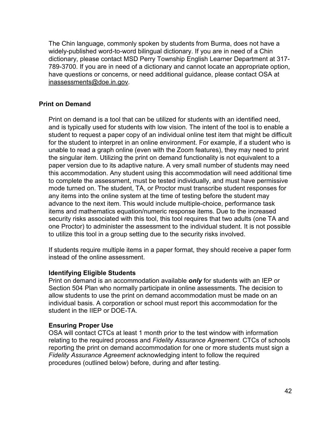The Chin language, commonly spoken by students from Burma, does not have a widely-published word-to-word bilingual dictionary. If you are in need of a Chin dictionary, please contact MSD Perry Township English Learner Department at 317- 789-3700. If you are in need of a dictionary and cannot locate an appropriate option, have questions or concerns, or need additional guidance, please contact OSA at [inassessments@doe.in.gov.](mailto:inassessments@doe.in.gov)

### **Print on Demand**

Print on demand is a tool that can be utilized for students with an identified need, and is typically used for students with low vision. The intent of the tool is to enable a student to request a paper copy of an individual online test item that might be difficult for the student to interpret in an online environment. For example, if a student who is unable to read a graph online (even with the Zoom features), they may need to print the singular item. Utilizing the print on demand functionality is not equivalent to a paper version due to its adaptive nature. A very small number of students may need this accommodation. Any student using this accommodation will need additional time to complete the assessment, must be tested individually, and must have permissive mode turned on. The student, TA, or Proctor must transcribe student responses for any items into the online system at the time of testing before the student may advance to the next item. This would include multiple-choice, performance task items and mathematics equation/numeric response items. Due to the increased security risks associated with this tool, this tool requires that two adults (one TA and one Proctor) to administer the assessment to the individual student. It is not possible to utilize this tool in a group setting due to the security risks involved.

If students require multiple items in a paper format, they should receive a paper form instead of the online assessment.

### **Identifying Eligible Students**

Print on demand is an accommodation available *only* for students with an IEP or Section 504 Plan who normally participate in online assessments. The decision to allow students to use the print on demand accommodation must be made on an individual basis. A corporation or school must report this accommodation for the student in the IIEP or DOE-TA.

### **Ensuring Proper Use**

OSA will contact CTCs at least 1 month prior to the test window with information relating to the required process and *Fidelity Assurance Agreement*. CTCs of schools reporting the print on demand accommodation for one or more students must sign a *Fidelity Assurance Agreement* acknowledging intent to follow the required procedures (outlined below) before, during and after testing.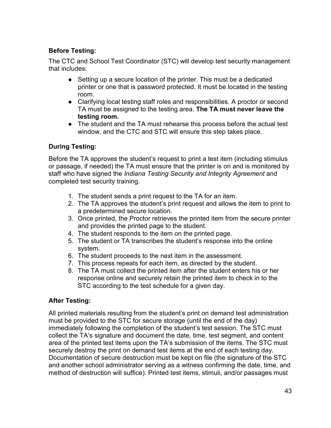### **Before Testing:**

The CTC and School Test Coordinator (STC) will develop test security management that includes:

- Setting up a secure location of the printer. This must be a dedicated printer or one that is password protected. It must be located in the testing room.
- Clarifying local testing staff roles and responsibilities. A proctor or second TA must be assigned to the testing area. **The TA must never leave the testing room.**
- The student and the TA must rehearse this process before the actual test window, and the CTC and STC will ensure this step takes place.

### **During Testing:**

Before the TA approves the student's request to print a test item (including stimulus or passage, if needed) the TA must ensure that the printer is on and is monitored by staff who have signed the *Indiana Testing Security and Integrity Agreement* and completed test security training.

- 1. The student sends a print request to the TA for an item.
- 2. The TA approves the student's print request and allows the item to print to a predetermined secure location.
- 3. Once printed, the Proctor retrieves the printed item from the secure printer and provides the printed page to the student.
- 4. The student responds to the item on the printed page.
- 5. The student or TA transcribes the student's response into the online system.
- 6. The student proceeds to the next item in the assessment.
- 7. This process repeats for each item, as directed by the student.
- 8. The TA must collect the printed item after the student enters his or her response online and securely retain the printed item to check in to the STC according to the test schedule for a given day.

### **After Testing:**

All printed materials resulting from the student's print on demand test administration must be provided to the STC for secure storage (until the end of the day) immediately following the completion of the student's test session. The STC must collect the TA's signature and document the date, time, test segment, and content area of the printed test items upon the TA's submission of the items. The STC must securely destroy the print on demand test items at the end of each testing day. Documentation of secure destruction must be kept on file (the signature of the STC and another school administrator serving as a witness confirming the date, time, and method of destruction will suffice). Printed test items, stimuli, and/or passages must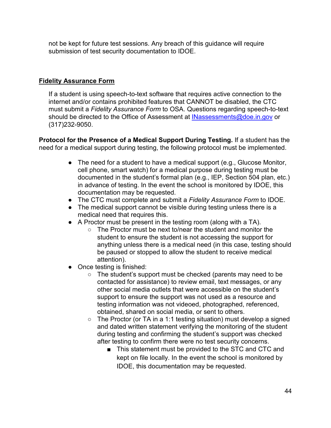not be kept for future test sessions. Any breach of this guidance will require submission of test security documentation to IDOE.

### **[Fidelity Assurance Form](https://form.jotform.com/91536578151967)**

If a student is using speech-to-text software that requires active connection to the internet and/or contains prohibited features that CANNOT be disabled, the CTC must submit a *Fidelity Assurance Form* to OSA. Questions regarding speech-to-text should be directed to the Office of Assessment at [INassessments@doe.in.gov](mailto:INassessments@doe.in.gov) or (317)232-9050.

**Protocol for the Presence of a Medical Support During Testing.** If a student has the need for a medical support during testing, the following protocol must be implemented.

- The need for a student to have a medical support (e.g., Glucose Monitor, cell phone, smart watch) for a medical purpose during testing must be documented in the student's formal plan (e.g., IEP, Section 504 plan, etc.) in advance of testing. In the event the school is monitored by IDOE, this documentation may be requested.
- The CTC must complete and submit a *Fidelity Assurance Form* to IDOE.
- The medical support cannot be visible during testing unless there is a medical need that requires this.
- A Proctor must be present in the testing room (along with a TA).
	- The Proctor must be next to/near the student and monitor the student to ensure the student is not accessing the support for anything unless there is a medical need (in this case, testing should be paused or stopped to allow the student to receive medical attention).
- Once testing is finished:
	- The student's support must be checked (parents may need to be contacted for assistance) to review email, text messages, or any other social media outlets that were accessible on the student's support to ensure the support was not used as a resource and testing information was not videoed, photographed, referenced, obtained, shared on social media, or sent to others.
	- The Proctor (or TA in a 1:1 testing situation) must develop a signed and dated written statement verifying the monitoring of the student during testing and confirming the student's support was checked after testing to confirm there were no test security concerns.
		- This statement must be provided to the STC and CTC and kept on file locally. In the event the school is monitored by IDOE, this documentation may be requested.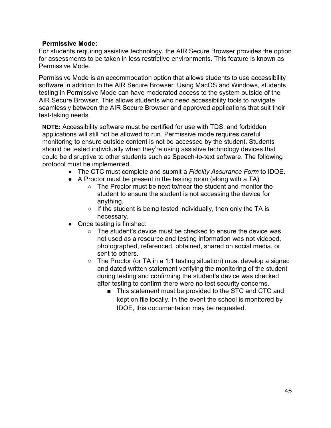### **Permissive Mode:**

For students requiring assistive technology, the AIR Secure Browser provides the option for assessments to be taken in less restrictive environments. This feature is known as Permissive Mode.

Permissive Mode is an accommodation option that allows students to use accessibility software in addition to the AIR Secure Browser. Using MacOS and Windows, students testing in Permissive Mode can have moderated access to the system outside of the AIR Secure Browser. This allows students who need accessibility tools to navigate seamlessly between the AIR Secure Browser and approved applications that suit their test-taking needs.

**NOTE:** Accessibility software must be certified for use with TDS, and forbidden applications will still not be allowed to run. Permissive mode requires careful monitoring to ensure outside content is not be accessed by the student. Students should be tested individually when they're using assistive technology devices that could be disruptive to other students such as Speech-to-text software. The following protocol must be implemented.

- The CTC must complete and submit a *Fidelity Assurance Form* to IDOE.
- A Proctor must be present in the testing room (along with a TA).
	- The Proctor must be next to/near the student and monitor the student to ensure the student is not accessing the device for anything.
	- $\circ$  If the student is being tested individually, then only the TA is necessary.
- Once testing is finished:
	- The student's device must be checked to ensure the device was not used as a resource and testing information was not videoed, photographed, referenced, obtained, shared on social media, or sent to others.
	- $\circ$  The Proctor (or TA in a 1:1 testing situation) must develop a signed and dated written statement verifying the monitoring of the student during testing and confirming the student's device was checked after testing to confirm there were no test security concerns.
		- This statement must be provided to the STC and CTC and kept on file locally. In the event the school is monitored by IDOE, this documentation may be requested.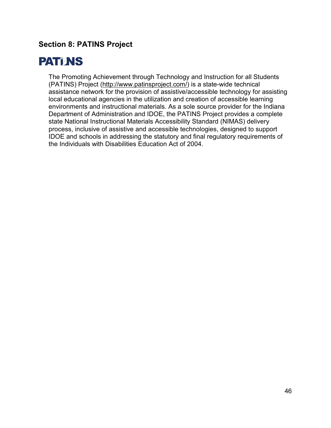### <span id="page-45-0"></span>**Section 8: PATINS Project**

## **PATI NS**

The Promoting Achievement through Technology and Instruction for all Students (PATINS) Project [\(http://www.patinsproject.com/\)](http://www.patinsproject.com/) is a state-wide technical assistance network for the provision of assistive/accessible technology for assisting local educational agencies in the utilization and creation of accessible learning environments and instructional materials. As a sole source provider for the Indiana Department of Administration and IDOE, the PATINS Project provides a complete state National Instructional Materials Accessibility Standard (NIMAS) delivery process, inclusive of assistive and accessible technologies, designed to support IDOE and schools in addressing the statutory and final regulatory requirements of the Individuals with Disabilities Education Act of 2004.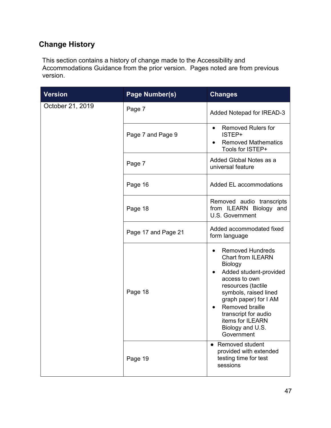### **Change History**

This section contains a history of change made to the Accessibility and Accommodations Guidance from the prior version. Pages noted are from previous version.

| <b>Version</b>   | Page Number(s)      | <b>Changes</b>                                                                                                                                                                                                                                                                          |
|------------------|---------------------|-----------------------------------------------------------------------------------------------------------------------------------------------------------------------------------------------------------------------------------------------------------------------------------------|
| October 21, 2019 | Page 7              | Added Notepad for IREAD-3                                                                                                                                                                                                                                                               |
|                  | Page 7 and Page 9   | <b>Removed Rulers for</b><br>$\bullet$<br>ISTEP+<br><b>Removed Mathematics</b><br>Tools for ISTEP+                                                                                                                                                                                      |
|                  | Page 7              | Added Global Notes as a<br>universal feature                                                                                                                                                                                                                                            |
|                  | Page 16             | Added EL accommodations                                                                                                                                                                                                                                                                 |
|                  | Page 18             | Removed audio transcripts<br>from ILEARN Biology and<br>U.S. Government                                                                                                                                                                                                                 |
|                  | Page 17 and Page 21 | Added accommodated fixed<br>form language                                                                                                                                                                                                                                               |
|                  | Page 18             | <b>Removed Hundreds</b><br><b>Chart from ILEARN</b><br>Biology<br>Added student-provided<br>access to own<br>resources (tactile<br>symbols, raised lined<br>graph paper) for I AM<br>Removed braille<br>٠<br>transcript for audio<br>items for ILEARN<br>Biology and U.S.<br>Government |
|                  | Page 19             | • Removed student<br>provided with extended<br>testing time for test<br>sessions                                                                                                                                                                                                        |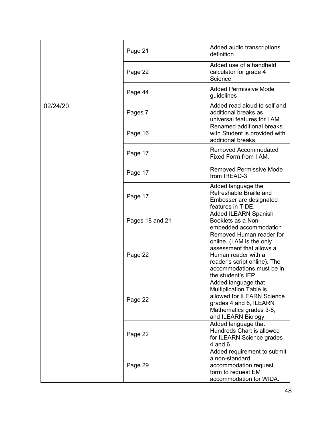|          | Page 21         | Added audio transcriptions<br>definition                                                                                                                                                    |
|----------|-----------------|---------------------------------------------------------------------------------------------------------------------------------------------------------------------------------------------|
|          | Page 22         | Added use of a handheld<br>calculator for grade 4<br>Science                                                                                                                                |
|          | Page 44         | <b>Added Permissive Mode</b><br>guidelines                                                                                                                                                  |
| 02/24/20 | Pages 7         | Added read aloud to self and<br>additional breaks as<br>universal features for I AM.                                                                                                        |
|          | Page 16         | Renamed additional breaks<br>with Student is provided with<br>additional breaks.                                                                                                            |
|          | Page 17         | <b>Removed Accommodated</b><br>Fixed Form from I AM.                                                                                                                                        |
|          | Page 17         | <b>Removed Permissive Mode</b><br>from IREAD-3                                                                                                                                              |
|          | Page 17         | Added language the<br>Refreshable Braille and<br>Embosser are designated<br>features in TIDE.                                                                                               |
|          | Pages 18 and 21 | <b>Added ILEARN Spanish</b><br>Booklets as a Non-<br>embedded accommodation                                                                                                                 |
|          | Page 22         | Removed Human reader for<br>online. (I AM is the only<br>assessment that allows a<br>Human reader with a<br>reader's script online). The<br>accommodations must be in<br>the student's IEP. |
|          | Page 22         | Added language that<br>Multiplication Table is<br>allowed for ILEARN Science<br>grades 4 and 6, ILEARN<br>Mathematics grades 3-8,<br>and ILEARN Biology.                                    |
|          | Page 22         | Added language that<br>Hundreds Chart is allowed<br>for ILEARN Science grades<br>4 and 6.                                                                                                   |
|          | Page 29         | Added requirement to submit<br>a non-standard<br>accommodation request<br>form to request EM<br>accommodation for WIDA.                                                                     |